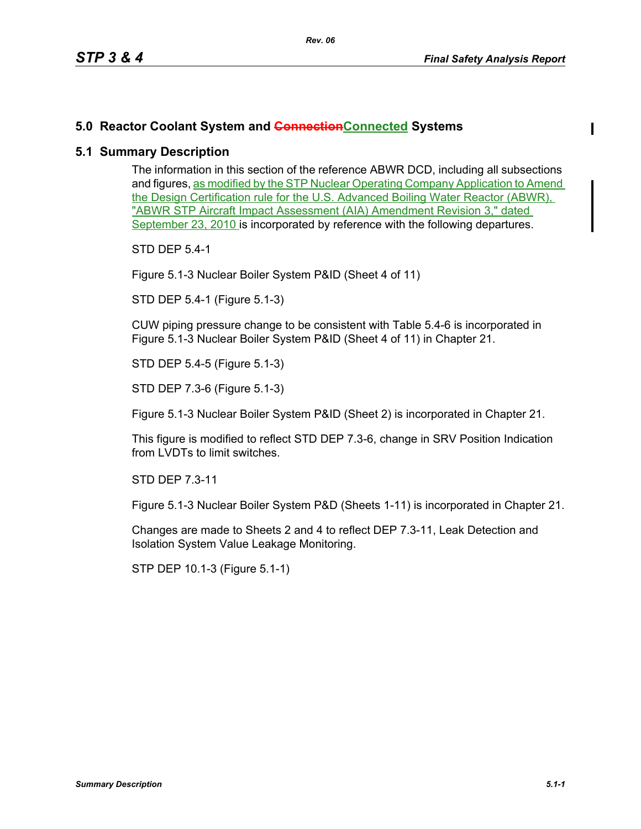## **5.0 Reactor Coolant System and ConnectionConnected Systems**

## **5.1 Summary Description**

The information in this section of the reference ABWR DCD, including all subsections and figures, as modified by the STP Nuclear Operating Company Application to Amend the Design Certification rule for the U.S. Advanced Boiling Water Reactor (ABWR), "ABWR STP Aircraft Impact Assessment (AIA) Amendment Revision 3," dated September 23, 2010 is incorporated by reference with the following departures.

STD DEP 5.4-1

Figure 5.1-3 Nuclear Boiler System P&ID (Sheet 4 of 11)

STD DEP 5.4-1 (Figure 5.1-3)

CUW piping pressure change to be consistent with Table 5.4-6 is incorporated in Figure 5.1-3 Nuclear Boiler System P&ID (Sheet 4 of 11) in Chapter 21.

STD DEP 5.4-5 (Figure 5.1-3)

STD DEP 7.3-6 (Figure 5.1-3)

Figure 5.1-3 Nuclear Boiler System P&ID (Sheet 2) is incorporated in Chapter 21.

This figure is modified to reflect STD DEP 7.3-6, change in SRV Position Indication from LVDTs to limit switches.

STD DEP 7.3-11

Figure 5.1-3 Nuclear Boiler System P&D (Sheets 1-11) is incorporated in Chapter 21.

Changes are made to Sheets 2 and 4 to reflect DEP 7.3-11, Leak Detection and Isolation System Value Leakage Monitoring.

STP DEP 10.1-3 (Figure 5.1-1)